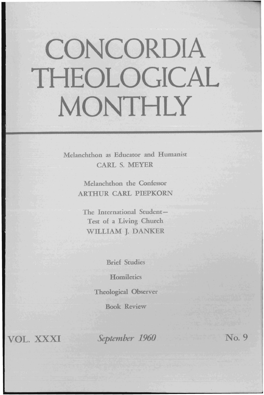# **CONCORDIA THEOLOGICAL MONTHLY**

Melanchthon as Educator and Humanist CARL S. MEYER

> Melanchthon the Confessor ARTHUR CARL PIEPKORN

The International Student-Test of a Living Church WILLIAM J. DANKER

Brief Studies

**Homiletics** 

Theological Observer

Book Review

VOL. XXXI

*September 1960* No. 9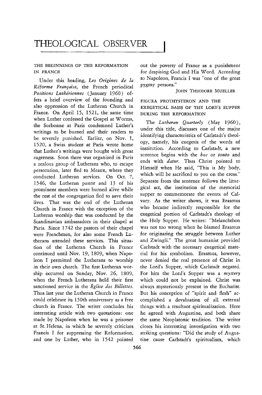# **THEOLOGICAL** OBSERVER

# THE BEGINNINGS OF THE REFORMATION IN FRANCE

Under this heading, *Les Origines de fa Reforme Fran[aise,* the French periodical *Positions Lutheriennes* (January 1960) offers a brief overview of the founding and also oppression of the Lutheran Church in France. On April 15, 1521, the same time when Luther confessed the Gospel at Worms, the Sorbonne at Paris condemned Luther's writings to be burned and their readers to be severely punished. Earlier, on Nov. 1, 1520, a Swiss student at Paris wrote home that Luther's writings were bought with great eagerness. Soon there was organized in Paris a zealous group of Lutherans who, to escape persecution, later fled to Meaux, where they conducted Lutheran services. On Oct. 7, 1546, the Lutheran pastor and 13 of his prominent members were burned alive while the rest of the congregation fled to save their lives. That was the end of the Lutheran Church in France with the exception of the Lutheran worship that was conducted by the Scandinavian ambassadors in their chapel at Paris. Since 1742 the pastors of their chapel were Frenchmen, for also some French Lutherans attended these services. This situation of the Lutheran Church in France continued until Nov. 19, 1809, when Napoleon I permitted the Lutherans to worship in their own church. The first Lutheran worship occurred on Sunday, Nov. 26, 1809, when the French Lutherans held their first sanctioned service in the *Eglise des Billettes.*  Thus last year the Lutheran Church in France could celebrate its 150th anniversary as a free church in France. The writer concludes his interesting article with two quotations: one he agreed with Augustine, and both share made by Napoleon when he was a prisoner the same Neoplatonic tradition. The writer at St. Helena, in which he severely criticizes closes his interesting investigation with two Francis I for suppressing the Reformation, striking questions: "Did the study of Augus-

out the poverty of France as a punishment for despising God and His Word. According to Napoleon, Francis I was "one of the great pygmy persons."

### JOHN THEODORE MUELLER

# FIGURA PROTHYSTERON AND THE EXEGETICAL BASIS OF THE LORD'S SUPPER DURING THE REFORMATION

The *Lutheran Quarterly* (May 1960), under this title, discusses one of the major identifying characteristics of Carlstadt's theology, namely, his exegesis of the words of institution. According to Carlstadt, a new sentence begins with the *hoc* or *touto* and ends with *datur*. Thus Christ pointed to Himself when He said, "This is My body, which will be sacrificed to you on the cross." Separate from the sentence follows the liturgical act, the institution of the memorial supper to commemorate the events of Calvary. As the writer shows, it was Erasmus who became indirectly responsible for the exegetical portion of Carlstadt's theology of the Holy Supper. He writes: "Melanchthon was not too wrong when he blamed Erasmus for originating the struggle between Luther and Zwingli." The great humanist provided Carlstadt with the necessary exegetical material for his symbolism. Erasmus, however, never denied the real presence of Christ in the Lord's Supper, which Carlstadt negated. For him the Lord's Supper was a *mystery*  which could not be explained. Christ was always mysteriously present in the Eucharist. But his conception of "spirit and flesh" accomplished a devaluation of all external things with a resultant spiritualization. Here and one by Luther, who in 1542 pointed tine cause Carlstadt's spiritualism, which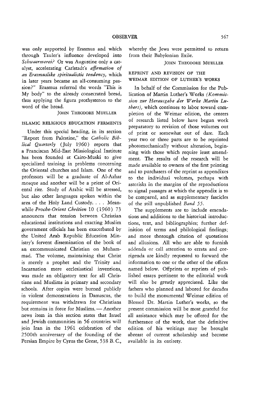was only supported by Erasmus and which through Tauier's influence developed into *Schwaermerei?* Or was Augustine only a catalyst, accelerating Carlstadt's *affirmation of an Erasmuslike spiritualistic tendency,* which in later years became an all-consuming passion?" Erasmus referred the words "This is My body" to the already consecrated bread, thus applying the figura prothysteron to the word of the bread.

#### JOHN THEODORE MUELLER

#### ISLAMIC RELIGIOUS EDUCATION FERMENTS

Under this special heading, in *its* section "Report from Palestine," the *Catholic Biblical Quarterly* (July 1960) reports that a Franciscan Mid-East Missiological Institute has been founded at Cairo-Muski to give specialized training in problems concerning the Oriental churches and Islam. One of the professors will be a graduate of Al-Azhar mosque and another will be a priest of Oriental rite. Study of Arabic will be stressed, but also other languages spoken within the area of the Holy Land Custody. . . . Meanwhile *Proche-Orient Chretien* 10 (1960) 73 announces that tension between Christian educational institutions and exacting Muslim government officials has been exacerbated by the United Arab Republic Education Ministry's fervent dissemination of the book of an excommunicated Christian on Muhammad. The volume, maintaining that Christ is merely a prophet and the Trinity and Incarnation mere ecclesiastical inventions, was made an obligatory text for all Christians and Muslims in primary and secondary schools. After copies were burned publicly in violent demonstrations in Damascus, the requirement was withdrawn for Christians but remains in force for Muslims. - Another news item in this section states that Israel and Jewish communities in 56 countries will join Iran in the 1961 celebration of the 2500th anniversary of the founding of the Persian Empire by Cyrus the Great, 538 B.C.,

whereby the Jews were permitted to return from their Babylonian Exile.

#### JOHN THEODORE MUELLER

# *REPRINT* AND REVISION OF THE WEIMAR EDITION OF LUTHER'S WORKS

In behalf of the Commission for the Publication of Martin Luther's Works *(Kommissian zur Herausgabe der Werke Martin Luthers),* which continues to labor toward completion of the Weimar edition, the centers of research listed below have begun work preparatory to revision of those volumes out of print or somewhat out of date. Each year two or three parts are to be reprinted photomechanically without alteration, beginning with those which require least amendment. The results of the research will be made available to owners of the first printing and to purchasers of the reprint as appendixes to the individual volumes, perhaps with asterisks in the margins of the reproductions to signal passages at which the appendix is to be compared, and as supplementary fascicles of the still unpublished *Band 55.* 

The supplements are to include emendations and additions to the historical introductions, text, and bibliographies; further definition of terms and philological findings; and more thorough citation of quotations and allusions. All who are able to furnish addenda or call attention to errata and corrigenda are kindly requested to forward the information to one or the other of the offices named below. Offprints or reprints of published essays pertinent to the editorial work will also be greatly appreciated. Like the fathers who planned and labored for decades to build the monumental Weimar edition of Blessed Dr. Martin Luther's works, so the present commission will be most grateful for all assistance which may be offered for the furtherance of the work, that the definitive edition of his writings may be brought abreast of current scholarship and become available in its entirety.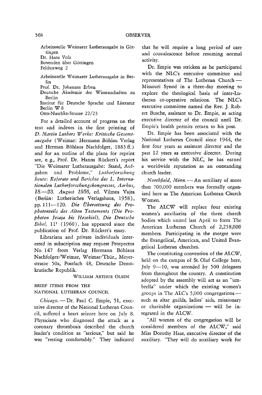Arbeitsstelle Weimarer Lutherausgabe in Gottingen Dr. Hans Volz

Bovenden über Göttingen Feldtorweg 2

Arbeitsstelle Weimarer Lutherausgabe in Berlin

Prof. Dr. Johannes Erben

Deutsche Akademie der Wissenschaften zu Berlin

Institut fiir Deutsche Sprache und Literatur Berlin W 8 Otto-Nuschke-Strasze 22/23

For a detailed account of progress on the text and indexes in the first printing of D. *l'dartin Luthers Werhe: Kritische Gesamt*ausgabe (Weimar: Hermann Böhlau Verlag and Herman Böhlaus Nachfolger, 1883 ff.) and for an outline of the plans for reprint see, e. g., Prof. Dr. Hanns Ruckert's report "Die Weimarer Lutherausgabe: Stand, Aufgaben und Probleme," *Lutherforschung heute: Referate und Berichte des 1. Internationalen Lutherforschungskongresses, Aarhus, 18.-23. August* 1956, ed. Vilmos Vajta (Berlin: Lutherisches Verlagshaus, 1958), pp.111-120. *Die tJbersetzung des Prophetenteils des Alten Testaments (Die Pro* $p$ heten Jesaja bis Hesekiel), Die Deutsche *Bibel*, 11<sup>1</sup> (1960), has appeared since the publication of Prof. Dr. Rückert's essay.

Librarians and private individuals interested in subscription may request Prospectus No. 147 from Verlag Hermann Böhlaus Nachfolger/Weimar, Weimar/Thur., Meyerstrasze 50a, Postfach 48, Deutsche Demokratische Republik.

WILLIAM ARTHUR OLSEN

# BRIEF ITEMS FROM THE NATIONAL LUTHERAN COUNCIL

Chicago. - Dr. Paul C. Empie, 51, executive director of the National Lutheran Council, suffered a heart seizure here on July 8. Physicians who diagnosed the attack as a coronary thrombosis described the church leader's condition as "serious," but said he was "resting comfortably." They indicated

that he will require a long period of care and convalescence before resuming normal activity.

Dr. Empie was stricken as he participated with the NLC's executive committee and representatives of The Lutheran Church-Missouri Synod in a three-day meeting to explore the theological basis of inter-Lutheran co-operative relations. The NLC's executive committee named the Rev. J. Robert Busche, assistant to Dr. Empie, as acting executive director of the council until Dr. Empie's health permits return to his post.

Dr. Empie has been associated with the National Lutheran Council since 1944, the first four years as assistant director and the past 12 years as executive director. During his service with the NLC, he has earned a worldwide reputation as an outstanding church leader.

*Northfield, Minn.* - An auxiliary of more than 700,000 members was formally organized here as The American Lutheran Church Women.

The ALCW will replace four existing women's auxiliaries of the three church bodies which united last April to form The American Lutheran Church of 2,258,000 members. Participating in the merger were the Evangelical, American, and United Evangelical Lutheran churches.

The constituting convention of the ALCW, held on the campus of St. Olaf College here, July 9-10, was attended by 500 delegates from throughout the country. A constitution adopted by the assembly will act as an "umbrella" under which the existing women's groups in The ALC's  $5,000$  congregations such as altar guilds, ladies' aids, missionary or charitable organizations - will be integrated in the ALCW.

"All women of the congregation will be considered members of the ALCW," said Miss Dorothy Haas, executive director of the auxiliary. "They will do auxiliary work for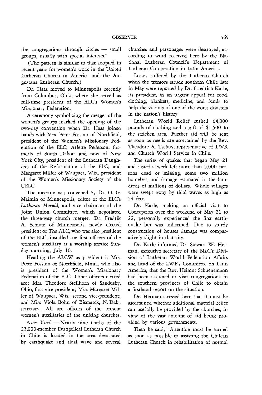the congregations through circles  $-$  small groups, usually with special interests."

(The pattern is similar to that adopted in recent years for women's work in the United Lutheran Church in America and the Augustana Lutheran Church.)

Dr. Haas moved to Minneapolis recently from Columbus, Ohio, where she served as full-time president of the ALC's Women's Missionary Federation.

A ceremony symbolizing the merger of the women's groups marked the opening of the two-day convention when Dr. Haas joined hands with Mrs. Peter Fossum of Northfield, president of the Women's Missionary Federation of the ELC; Arlette Pederson, formerly of South Dakota and now of New York City, president of the Lutheran Daughters of the Reformation of the ELC; and Margaret Miller of Waupaca, Wis., president of the Women's Missionary Society of the UELC.

The meeting was convened by Dr. O. G. Malmin of Minneapolis, editor of the ELC's *Lutheran Herald,* and vice chairman of the Joint Union Committee, which negotiated the three-way church merger. Dr. Fredrik A. Schiotz of Minneapolis, newly elected president of The ALC, who was also president of the ELC, installed the first officers of the women's auxiliary at a worship service Sunday morning, July 10.

Heading the ALCW as president is Mrs. Peter Fossum of Northfield, Minn., who also is president of the Women's Missionary Federation of the ELC. Other officers elected are: Mrs. Theodore Stellhorn of Sandusky, Ohio, first vice-president; Miss Margaret Miller of Waupaca, Wis., second vice-president; and Miss Viola Bohn of Bismarck, N. Dak., secretary. All are officers of the present women's auxiliaries of the uniting churches.

 $New York$ . - Nearly nine tenths of the 25,000-member Evangelical Lutheran Church in Chile is located in the area devastated by earthquake and tidal wave and several churches and parsonages were destroyed, according to word received here by the National Lutheran Council's Department of Lutheran Co-operation in Latin America.

Losses suffered by the Lutheran Church when the tremors struck southern Chile late in May were reported by Dr. Friedrich Karle, its president, in an urgent appeal for food, clothing, blankets, medicine, and funds to help the victims of one of the worst disasters in the nation's history.

Lutheran World Relief rushed 64,000 pounds of clothing and a gift of *\$1,500* to the stricken area. Further aid will be sent as soon as needs are ascertained by the Rev. Theodore A. Tschuy, representative of LWR and Church World Service in Chile.

The series of quakes that began May 21 and lasted a week left more than 5,000 persons dead or missing, some two million homeless, and damage estimated in the hundreds of millions of dollars. Whole villages were swept away by tidal waves as high as 24 feet.

Dr. Karle, making an official visit to Concepcion over the weekend of May 21 to 22, personally experienced the first earthquake but was unharmed. Due to sturdy construction of houses damage was comparatively slight in that city.

Dr. Karle informed Dr. Stewart W. Herman, executive secretary of the NLC's Division of Lutheran World Federation Affairs and head of the LWF's Committee on Latin America, that the Rev. Helmut Schuenemann had been assigned to visit congregations in the southern provinces of Chile to obtain a firsthand report on the situation.

Dr. Herman stressed here that it must be ascertained whether additional material relief can usefully be provided by the churches, in view of the vast amount of aid being provided by various governments.

Then he said, "Attention must be turned as soon as possible to assisting the Chilean Lutheran Church in rehabilitation of normal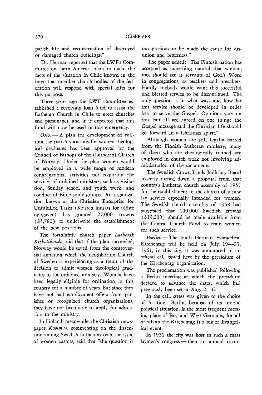parish life and reconstruction of destroyed or damaged church buildings."

Dr. Herman reported that the LWF's Committee on Latin America plans to make the facts of the situation in Chile known in the hope that member church bodies of the federation will respond with special gifts for this purpose.

Three years ago the LWF committee established a revolving loan fund to assist the Lutheran Church in Chile to erect churches and parsonages, and it is expected that this fund will now be used in this emergency.

Oslo. - A plan for development of fulltime lay parish vocations for women theological graduates has been approved by the Council of Bishops of the (Lutheran) Church of Norway. Under the plan women would be employed in a wide range of modern congregational activities not requiring the services of ordained ministers, such as visitation, Sunday school and youth work, and conduct of Bible study groups. An organization known as the Christian Enterprise for Unfulfilled Tasks (Kristen innsats for ulöste oppgaver) has granted 27,000 crowns (\$3,780) to underwrite the establishment of the new positions.

The fortnightly church paper *Luthersk Kirketidende* said that if the plan succeeded, Norway would be saved from the controversial agitation which the neighboring Church of Sweden is experiencing as a result of the decision to admit women theological graduates to the ordained ministry. Women have been legally eligible for ordination in this country for a number of years, but since they have not had employment offers from parishes or recognized church organizations, they have not been able to apply for admission to the ministry.

In Finland, meanwhile, the Christian newspaper *Kotimaa,* commenting on the dissension among Swedish Lutherans over the issue of women pastors, said that "the question is

too precious to be made the cause for disunion and bitterness."

The paper added: "The Finnish nation has accepted as something natural that women, too, should act as servants of God's Word in congregations, as teachers and preachers. Hardly anybody would want this successful and blessed service to be discontinued. The only question is in what ways and how far this service should be developed in order best to serve the Gospel. Opinions vary on this, but all are agreed on one thing: the Gospel message and the Christian life should go forward in a Christian spirit."

Although women are still legally barred from the Finnish Lutheran ministry, many of them who are theologically trained are employed in church work not involving administration of the sacraments.

The Swedish Crown Lands Judiciary Board recently turned down a proposal from that country's Lutheran church assembly of 1957 for the establishment in the church of a new lay service especially intended for women. The Swedish church assembly of 1958 had suggested that 100,000 Swedish crowns (\$19,200) should be made available from the Central Church Fund to train women for such service.

Berlin. - The tenth German Evangelical Kirchentag will be held on July  $19-23$ , 1961, in this city, it was announced in an official call issued here by the presidium of the Kirchentag organization.

The proclamation was published following a Berlin meeting at which the presidium decided to advance the dates, which had previously been set at Aug. 2-6.

In the call, stress was given to the choice of location. Berlin, because of its unique political situation, is the most frequent meeting place of East and West Germans, for all of whom the Kirchentag is a major Evangelical event.

In 1951 the city was host to such a mass laymen's congress - then an annual occur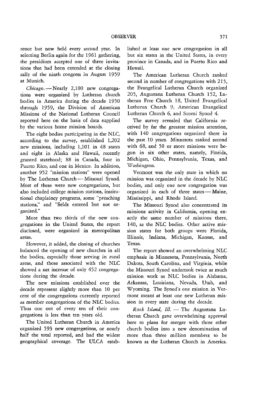rence but now held every second year. In selecting Berlin again for the 1961 gathering, the presidium accepted one of three invitations that had been extended at the closing rally of the ninth congress in August 1959 at Munich.

*Chicago.-Nearly* 2,100 new congregations were organized by lutheran church bodies in America during the decade 1950 through 1959, the Division of American Missions of the National Lutheran Council reported here on the basis of data supplied by the various home mission boards.

The eight bodies participating in the NLC, according to the survey, established 1,202 new missions, including 1,101 in 48 states and eight in Alaska and Hawaii, recently granted statehood; 88 in Canada, four in Puerto Rico, and one in Mexico. In addition, another 952 "mission stations" were opened by The Lutheran Church - Missouri Synod. Most of these were new congregations, but also included college mission stations, institutional chaplaincy programs, some "preaching stations," and "fields entered but not organized."

More than two thirds of the new congregations in the United States, the report disclosed, were organized in metropolitan areas.

However, it added, the closing of churches balanced the opening of new churches in all the bodies, especially those serving in rural areas, and those associated with the NLC showed a net increase of only 452 congregations during the decade.

The new missions established over the decade represent slightly more than 10 per cent of the congregations currently reported as member congregations of the NLC bodies. Thus one out of every ten of their congregations is less than ten years old.

The United Lutheran Church in America organized 593 new congregations, or nearly half the total reported, and had the widest geographical coverage. The ULCA established at least one new congregation in all but six states in the United States, in every province in Canada, and in Puerto Rico and Hawaii.

The American Lutheran Church ranked second in number of congregations with 215, the Evangelical Lutheran Church organized 205, Augustana Lutheran Church 152, lutheran Free Church 18, United Evangelical Lutheran Church 9, American Evangelical lutheran Church 6, and Suomi Synod 4.

The survey revealed that California received by far the greatest mission attention, with 140 congregations organized there in the past 10 years. Minnesota ranked second with 68, and 50 or more missions were begun in six other states, namely, Florida, Michigan, Ohio, Pennsylvania, Texas, and Washington.

Vermont was the only state in which no mission was organized in the decade by NLC bodies, and only one new congregation was organized in each of three states - Maine, Mississippi, and Rhode Island.

The Missouri Synod also concentrated its missions activity in California, opening exactly the same number of missions there, 140, as the NLC bodies. Other active mission states for both groups were Florida, Illinois, Indiana, Michigan, Kansas, and Texas.

The report showed an overwhelming NLC emphasis in Minnesota, Pennsylvania, North Dakota, South Carolina, and Virginia, while the Missouri Synod undertook twice as much mission work as NLC bodies in Alabama, Arkansas, Louisiana, Nevada, Utah, and Wyoming. The Synod's one mission in Vermont meant at least one new lutheran mission in every state during the decade.

*Rock Island, Ill.* - The Augustana Lutheran Church gave overwhelming approval here to plans for merger with three other church bodies into a new denomination of more than three million members to be known as the Lutheran Church in America.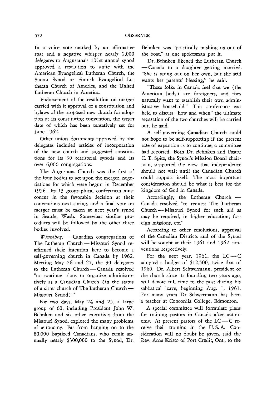In a voice vote marked by an affirmative roar and a negative whisper nearly 2,000 delegates to Augustana's 101st annual synod approved a resolution to unite with the American Evangelical Lutheran Church, the Suomi Synod or Finnish Evangelical Lutheran Church of America, and the United Lutheran Church in America.

Endorsement of the resolution on merger carried with it approval of a constitution and bylaws of the proposed new church for adoption at its constituting convention, the target date of which has been tentatively set for June 1962.

Other union documents approved by the delegates included articles of incorporation of the new church and suggested constitutions for its 30 territorial synods and its over 6,000 congregations.

The Augustana Church was the first of the four bodies to act upon the merger, negotiations for which were begun in December 1956. Its 13 geographical conferences must concur in the favorable decision at their conventions next spring, and a final vote on merger must be taken at next year's synod in Seattle, Wash. Somewhat similar procedures will be followed by the other three bodies involved.

*Winnipeg.* — Canadian congregations of The Lutheran Church - Missouri Synod reaffirmed their intention here to become a self-governing church in Canada by 1962. Meeting May 26 and 27, the 30 delegates to the Lutheran Church - Canada resolved "to continue plans to organize administratively as a Canadian Church (in the status of a sister church of The Lutheran Church-Missouri Synod)."

For two days, May 24 and 25, a large group of 60, including President John W. Behnken and six other executives from the Missouri Synod, explored the many problems of autonomy. Far from hanging on to the 80,000 baptized Canadians, who remit annually nearly \$300,000 to the Synod, Dr. Behnken was "practically pushing us out of **the boat," as one spokesman put it.** 

Dr. Behnken likened the Lutheran Church - Canada to a daughter getting married. "She is going out on her own, but she still wants her parents' blessing," he said.

"These folks in Canada feel that we (the American body) are foreigners, and they naturally want to establish their own administrative household." This conference was held to discuss "how and when" the ultimate separation of the two churches will be carried out, he said.

A self-governing Canadian Church could not hope to be self-supporting if the present rate of expansion is to continue, a committee had reported. Both Dr. Behnken and Pastor C. T. Spitz, the Synod's Mission Board chair- .man, supported the view that independence should not wait until the Canadian Church could support itself. The most important consideration should be what is best for the kingdom of God in Canada.

Accordingly, the Lutheran Church - Canada resolved "to request The Lutheran Church - Missouri Synod for such aid as may be required, in higher education, foreign missions, etc."

According to other resolutions, approval of the Canadian Districts and of the Synod will be sought at their 1961 and 1962 conventions respectively.

For the next year, 1961, the  $LC-C$ adopted a budget of \$12,500, twice that of 1960. Dr. Albert Schwermann, president of the church since its founding two years ago, will devote full time to the post during his sabbatical leave, beginning Aug. 1, 1961. For many years Dr. Schwermann has been a teacher at Concordia College, Edmonton.

A special committee will formulate plans for training pastors in Canada after autonomy. At present pastors of the  $LC - C$  receive their training in the U. S. A. Consideration will no doubt be given, said the Rev. Arne Kristo of Port Credit, Ont., to the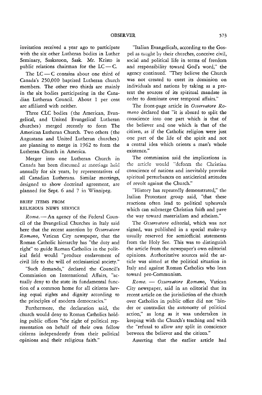invitation received a year ago to participate with the six other Lutheran bodies in Luther Seminary, Saskatoon, Sask. Mr. Kristo is public relations chairman for the  $LC - C$ .

The  $LC - C$  contains about one third of Canada's 250,000 baptized Lutheran church members. The other two thirds are mainly in the six bodies participating in the Canadian Lutheran Council. About 1 per cent are affiliated with neither.

Three CLC bodies (the American, Evangelical, and United Evangelical Lutheran churches) merged recently to form The American Lutheran Church. Two others (the Augustana and United Lutheran churches) are planning to merge in 1962 to form the Lutheran Church in America.

Merger into one Lutheran Church in Canada has been discussed at meetings held annually for six years, by representatives of all Canadian Lutherans. Similar meetings, designed to show doctrinal agreement, are planned for Sept. 6 and 7 in Winnipeg.

## BRIEF ITEMS FROM RELIGIOUS NEWS SERVICE

*Rome.* - An agency of the Federal Council of the Evangelical Churches in Italy said here that the recent assertion by *Osservatore Romano,* Vatican City newspaper, that the Roman Catholic hierarchy has "the duty and right" to guide Roman Catholics in the political field would "produce enslavement of civil life to the will of ecclesiastical society."

"Such demands," declared the Council's Commission on International Affairs, "actually deny to the state its fundamental function of a common home for all citizens having equal rights and dignity according to the principles of modern democracies."

Furthermore, the declaration said, the church would deny to Roman Catholics holding public offices "the right of political representation on behalf of their own fellow citizens independently from their political opinions and their religious faith."

"Italian Evangelicals, according to the Gospel as taught by their churches, conceive civil, social and political life in terms of freedom and responsibility toward God's word," the agency continued. "They believe the Church was not created to exert its dominion on individuals and nations by taking as a pretext the sources of its spiritual mandate in order to dominate over temporal affairs."

The front-page article in *Osservatore Romano* declared that "it is absurd to split the conscience into one part which is that of the believer and one which is that of the citizen, as if the Catholic religion were just one part of the life of the spirit and not a central idea which orients a man's whole existence."

The commission said the implications in the article would "deform the Christian conscience of nations and inevitably provoke spiritual perturbances on anticlerical attitudes of revolt against the Church."

"History has repeatedly demonstrated," the Italian Protestant group said, "that these reactions often lead to political upheavals which can submerge Christian faith and pave the way toward materialism and atheism."

The *Osservatore* editorial, which was not signed, was published in a special make-up usually reserved for semiofficial statements from the Holy See. This was to distinguish the article from the newspaper's own editorial opinions. Authoritative sources said the article was aimed at the political situation in Italy and against Roman Catholics who lean toward pro-Communism.

*Rome.* - *Osservatore Romano,* Vatican City newspaper, said in an editorial that its recent article on the jurisdiction of the church over Catholics in public office did not "hinder or contradict the autonomy of political action," as long as it was undertaken in keeping with the Church's teaching and with the "refusal to allow any split in conscience between the believer and the citizen."

Asserting that the earlier article had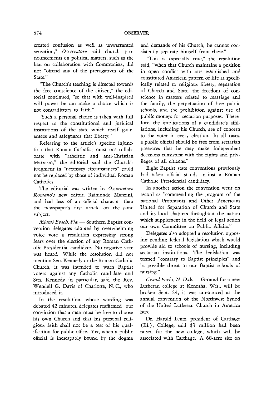created confusion as well as unwarranted sensation," Osservatore said church pronouncements on political matters, such as the ban on collaboration with Communists, did not "offend any of the prerogatives of the State."

"The Church's teaching is directed towards the free conscience of the citizen," the editorial continued, "so that with well-inspired will power he can make a choice which is not contradictory to faith."

"Such a personal choice is taken with full respect to the constitutional and juridical institutions of the state which itself guarantees and safeguards that liberty."

Referring to the article's specific injunction that Roman Catholics must not collaborate with "atheistic and anti-Christian Marxism," the editorial said the Church's judgment in "necessary circumstances" could not be replaced by those of individual Roman Catholics.

The editorial was written by *Osservatore Romano's* new editor, Raimondo Manzini, and had less of an official character than the newspaper's first article on the same subject.

*Miami Beach, Fla.* - Southern Baptist convention delegates adopted by overwhelming voice vote a resolution expressing strong fears over the election of any Roman Catholic Presidential candidate. No negative vote was heard. While the resolution did not mention Sen. Kennedy or the Roman Catholic Church, it was intended to warn Baptist voters against any Catholic candidate and Sen. Kennedy in particular, said the Rev. Wendell G. Davis of Charlotte, N. C, who introduced it.

In the resolution, whose wording was debated 42 minutes, delegates reaffirmed "our conviction that a man must be free to choose his own Church and that his personal religious faith shall not be a test of his qualification for public office. Yet, when a public official is inescapably bound by the dogma and demands of his Church, he cannot consistently separate himself from these."

"This is especially true," the resolution said, "when that Church maintains a position in open conflict with our established and constituted American pattern of life as specifically related to religious liberty, separation of Church and State, the freedom of conscience in matters related to marriage and the family, the perpetuation of free public schools, and the prohibition against use of public moneys for sectarian purposes. Therefore, the implications of a candidate's affiliations, including his Church, are of concern to the voter in every election. In all cases, a public official should be free from sectarian pressures that he may make independent decisions consistent with the rights and privileges of all citizens."

Eight Baptist state conventions previously had taken official stands against a Roman Catholic Presidential candidacy.

In another action the convention went on record as "commending the program of the national Protestants and Other Americans United for Separation of Church and State and its local chapters thtoughout the nation which supplement in the field of legal action our own Committee on Public Affairs."

Delegates also adopted a resolution opposing pending federal legislation which would provide aid to schools of nursing, including sectarian institutions. The legislation was termed "contrary to Baptist principles" and "a possible thteat to our Baptist schools of nursing."

*Grand Forks, N. Dak.* - Ground for a new Lutheran college at Kenosha, Wis., will be broken Sept. 24, it was announced at the annual convention of the Northwest Synod of the United Lutheran Church in America here.

Dr. Harold Lentz, president of Carthage (111.), College, said \$3 million had been raised for the new college, which will be associated with Carthage. A 68-acre site on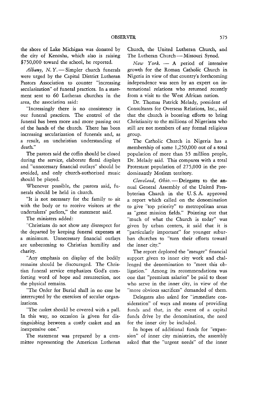the shore of Lake Michigan was donated by the city of Kenosha, which also is raising \$750,000 toward the school, he reported.

Albany, N. Y. - Simpler church funerals were urged by the Capital District Lutheran Pastors Association to counter "increasing secularization" of funeral practices. In a statement sent to 60 Lutheran churches in the area, the association said:

"Increasingly there is no consistency in our funeral practices. The control of the funeral has been more and more passing out of the hands of the church. There has been increasing secularization of funerals and, as a result, an unchristian understanding of death."

The pastors said the coffin should be closed during the service, elaborate floral displays and "unnecessary financial outlays" should be avoided, and only church-authorized music should be played.

Whenever possible, the pastors said, funerals should be held in church.

"It is not necessary for the family to sit with the body or to receive visitors at the undertakers' parlors," the statement said.

The ministers added:

"Christians do not show any disrespect for the departed by keeping funeral expenses at a minimum. Unnecessary financial outlays are unbecoming to Christian humility and charity.

"Any emphasis on display of the bodily remains should be discouraged. The Christian funeral service emphasizes God's comforting word of hope and resurrection, not the physical remains.

"The Order for Burial shall in no case be interrupted by the exercises of secular organizations.

"The casket should be covered with a pall. In this way, no occasion is given for distinguishing between a costly casket and an inexpensive one."

The statement was prepared by a committee representing the American Lutheran Church, the United Lutheran Church, and The Lutheran Church - Missouri Synod.

*New York.* - A period of intensive growth for the Roman Catholic Church in Nigeria in view of that country's forthcoming independence was seen by an expert on international relations who returned recently from a visit to the West African nation.

Dr. Thomas Patrick Melady, president of Consultants for Overseas Relations, Inc., said that the church is boosting efforts to bring Christianity to the millions of Nigerians who still are not members of any formal religious group.

The Catholic Church in Nigeria has a membership of some 1,250,000 out of a total population of more than 35 million people, Dr. Melady said. This compares with a total Protestant population of 275,000 in the predominantly Moslem territory.

Cleveland, Ohio. - Delegates to the annual General Assembly of the United Presbyterian Church in the U. S. A. approved a report which called on the denomination to give "top priority" to metropolitan areas as "great mission fields." Pointing out that "much of what the Church is today" was given by urban centers, it said that it is "particularly important" for younger suburban churches to "turn their efforts toward the inner city."

The report deplored the "meager" financial support given to inner city work and challenged the denomination to "meet this obligation." Among its recommendations was one that "premium salaries" be paid to those who serve in the inner city, in view of the "more obvious sacrifices" demanded of them.

Delegates also asked for "immediate consideration" of ways and means of providing funds and that, in the event of a capital funds drive by the denomination, the need for the inner city be included.

In hopes of additional funds for "expansion" of inner city ministries, the assembly asked that the "urgent needs" of the inner